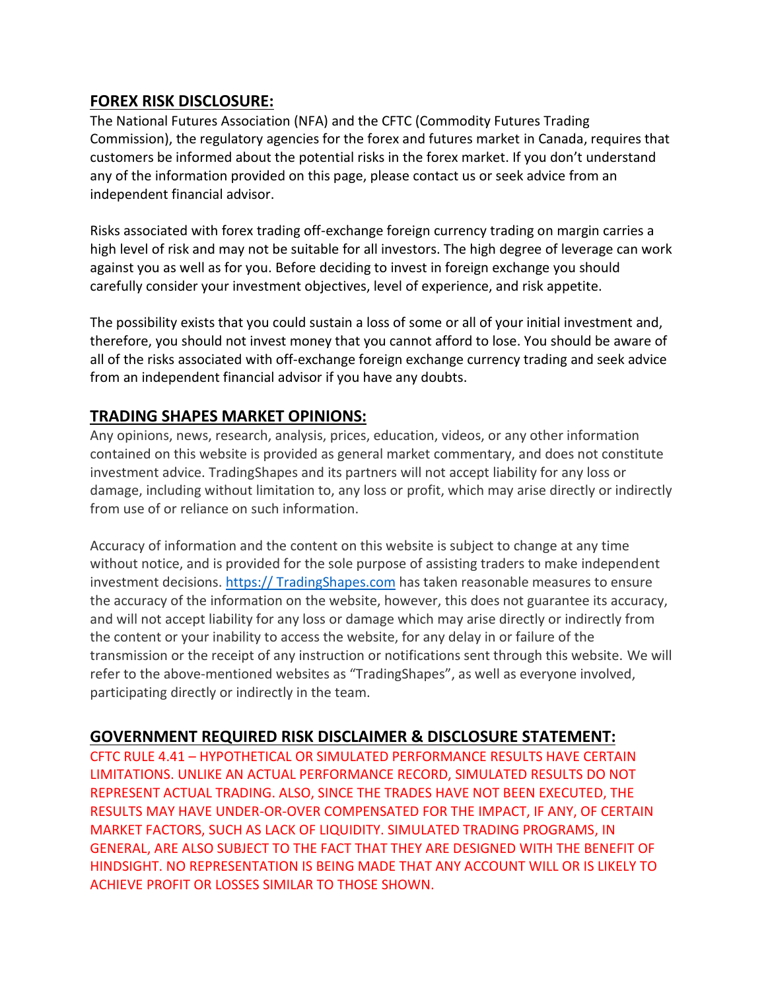## **FOREX RISK DISCLOSURE:**

The National Futures Association (NFA) and the CFTC (Commodity Futures Trading Commission), the regulatory agencies for the forex and futures market in Canada, requires that customers be informed about the potential risks in the forex market. If you don't understand any of the information provided on this page, please contact us or seek advice from an independent financial advisor.

Risks associated with forex trading off-exchange foreign currency trading on margin carries a high level of risk and may not be suitable for all investors. The high degree of leverage can work against you as well as for you. Before deciding to invest in foreign exchange you should carefully consider your investment objectives, level of experience, and risk appetite.

The possibility exists that you could sustain a loss of some or all of your initial investment and, therefore, you should not invest money that you cannot afford to lose. You should be aware of all of the risks associated with off-exchange foreign exchange currency trading and seek advice from an independent financial advisor if you have any doubts.

## **TRADING SHAPES MARKET OPINIONS:**

Any opinions, news, research, analysis, prices, education, videos, or any other information contained on this website is provided as general market commentary, and does not constitute investment advice. TradingShapes and its partners will not accept liability for any loss or damage, including without limitation to, any loss or profit, which may arise directly or indirectly from use of or reliance on such information.

Accuracy of information and the content on this website is subject to change at any time without notice, and is provided for the sole purpose of assisting traders to make independent investment decisions. https:// TradingShapes.com has taken reasonable measures to ensure the accuracy of the information on the website, however, this does not guarantee its accuracy, and will not accept liability for any loss or damage which may arise directly or indirectly from the content or your inability to access the website, for any delay in or failure of the transmission or the receipt of any instruction or notifications sent through this website. We will refer to the above-mentioned websites as "TradingShapes", as well as everyone involved, participating directly or indirectly in the team.

## **GOVERNMENT REQUIRED RISK DISCLAIMER & DISCLOSURE STATEMENT:**

CFTC RULE 4.41 – HYPOTHETICAL OR SIMULATED PERFORMANCE RESULTS HAVE CERTAIN LIMITATIONS. UNLIKE AN ACTUAL PERFORMANCE RECORD, SIMULATED RESULTS DO NOT REPRESENT ACTUAL TRADING. ALSO, SINCE THE TRADES HAVE NOT BEEN EXECUTED, THE RESULTS MAY HAVE UNDER-OR-OVER COMPENSATED FOR THE IMPACT, IF ANY, OF CERTAIN MARKET FACTORS, SUCH AS LACK OF LIQUIDITY. SIMULATED TRADING PROGRAMS, IN GENERAL, ARE ALSO SUBJECT TO THE FACT THAT THEY ARE DESIGNED WITH THE BENEFIT OF HINDSIGHT. NO REPRESENTATION IS BEING MADE THAT ANY ACCOUNT WILL OR IS LIKELY TO ACHIEVE PROFIT OR LOSSES SIMILAR TO THOSE SHOWN.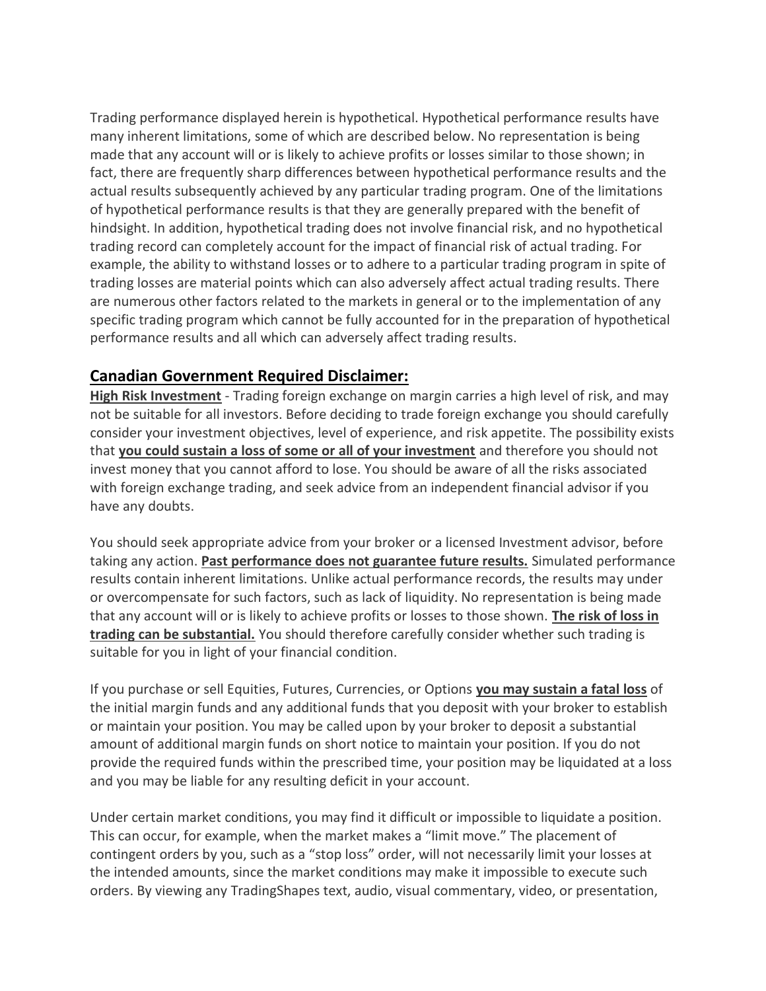Trading performance displayed herein is hypothetical. Hypothetical performance results have many inherent limitations, some of which are described below. No representation is being made that any account will or is likely to achieve profits or losses similar to those shown; in fact, there are frequently sharp differences between hypothetical performance results and the actual results subsequently achieved by any particular trading program. One of the limitations of hypothetical performance results is that they are generally prepared with the benefit of hindsight. In addition, hypothetical trading does not involve financial risk, and no hypothetical trading record can completely account for the impact of financial risk of actual trading. For example, the ability to withstand losses or to adhere to a particular trading program in spite of trading losses are material points which can also adversely affect actual trading results. There are numerous other factors related to the markets in general or to the implementation of any specific trading program which cannot be fully accounted for in the preparation of hypothetical performance results and all which can adversely affect trading results.

## **Canadian Government Required Disclaimer:**

**High Risk Investment** - Trading foreign exchange on margin carries a high level of risk, and may not be suitable for all investors. Before deciding to trade foreign exchange you should carefully consider your investment objectives, level of experience, and risk appetite. The possibility exists that **you could sustain a loss of some or all of your investment** and therefore you should not invest money that you cannot afford to lose. You should be aware of all the risks associated with foreign exchange trading, and seek advice from an independent financial advisor if you have any doubts.

You should seek appropriate advice from your broker or a licensed Investment advisor, before taking any action. **Past performance does not guarantee future results.** Simulated performance results contain inherent limitations. Unlike actual performance records, the results may under or overcompensate for such factors, such as lack of liquidity. No representation is being made that any account will or is likely to achieve profits or losses to those shown. **The risk of loss in trading can be substantial.** You should therefore carefully consider whether such trading is suitable for you in light of your financial condition.

If you purchase or sell Equities, Futures, Currencies, or Options **you may sustain a fatal loss** of the initial margin funds and any additional funds that you deposit with your broker to establish or maintain your position. You may be called upon by your broker to deposit a substantial amount of additional margin funds on short notice to maintain your position. If you do not provide the required funds within the prescribed time, your position may be liquidated at a loss and you may be liable for any resulting deficit in your account.

Under certain market conditions, you may find it difficult or impossible to liquidate a position. This can occur, for example, when the market makes a "limit move." The placement of contingent orders by you, such as a "stop loss" order, will not necessarily limit your losses at the intended amounts, since the market conditions may make it impossible to execute such orders. By viewing any TradingShapes text, audio, visual commentary, video, or presentation,